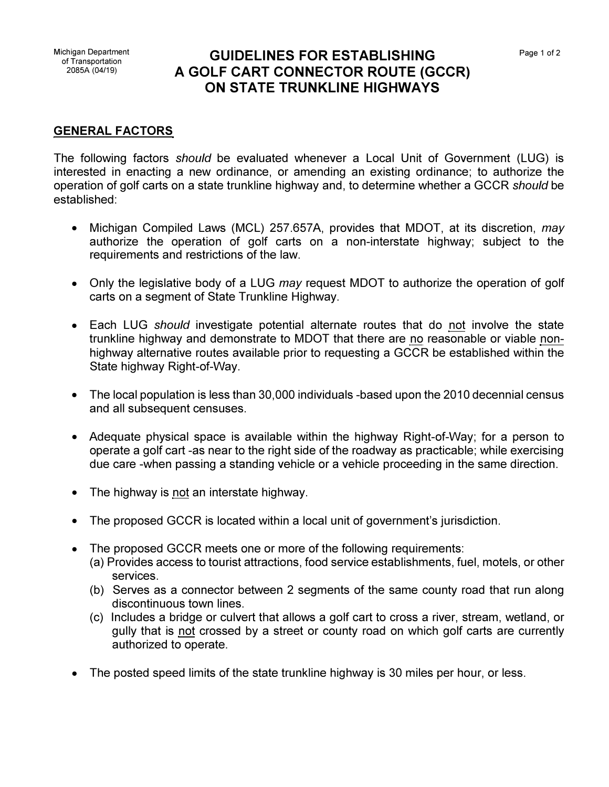## Michigan Department **GUIDELINES FOR ESTABLISHING** <sup>2085</sup><sup>A</sup> (04/19) **A GOLF CART CONNECTOR ROUTE (GCCR) ON STATE TRUNKLINE HIGHWAYS**

## **GENERAL FACTORS**

The following factors *should* be evaluated whenever a Local Unit of Government (LUG) is interested in enacting a new ordinance, or amending an existing ordinance; to authorize the operation of golf carts on a state trunkline highway and, to determine whether a GCCR *should* be established:

- Michigan Compiled Laws (MCL) 257.657A, provides that MOOT, at its discretion, *may* authorize the operation of golf carts on a non-interstate highway; subject to the requirements and restrictions of the law.
- Only the legislative body of a LUG *may* request MOOT to authorize the operation of golf carts on a segment of State Trunkline Highway.
- Each LUG *should* investigate potential alternate routes that do not involve the state trunkline highway and demonstrate to MOOT that there are no reasonable or viable nonhighway alternative routes available prior to requesting a GCCR be established within the State highway Right-of-Way.
- The local population is less than 30,000 individuals -based upon the 2010 decennial census and all subsequent censuses.
- Adequate physical space is available within the highway Right-of-Way; for a person to operate a golf cart -as near to the right side of the roadway as practicable; while exercising due care -when passing a standing vehicle or a vehicle proceeding in the same direction.
- The highway is not an interstate highway.
- The proposed GCCR is located within a local unit of government's jurisdiction.
- The proposed GCCR meets one or more of the following requirements:
	- (a) Provides access to tourist attractions, food service establishments, fuel, motels, or other services.
	- (b) Serves as a connector between 2 segments of the same county road that run along discontinuous town lines.
	- (c) Includes a bridge or culvert that allows a golf cart to cross a river, stream, wetland, or gully that is not crossed by a street or county road on which golf carts are currently authorized to operate.
- The posted speed limits of the state trunkline highway is 30 miles per hour, or less.